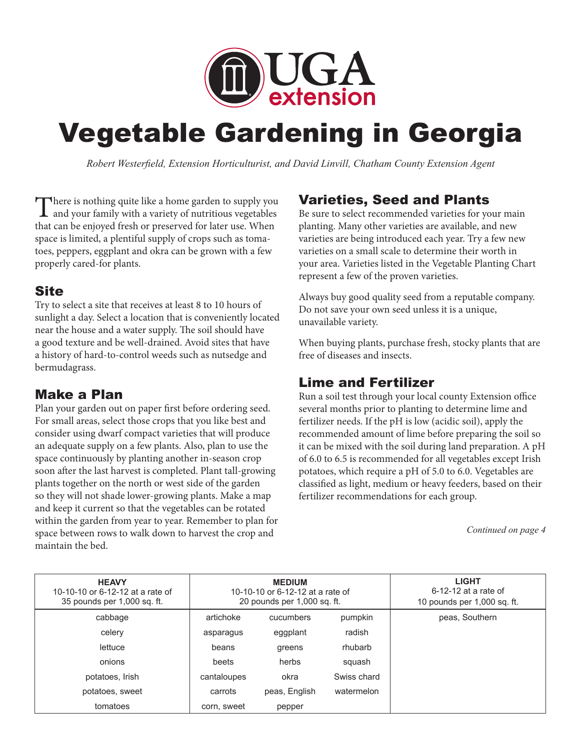

# Vegetable Gardening in Georgia

*Robert Westerfield, Extension Horticulturist, and David Linvill, Chatham County Extension Agent*

There is nothing quite like a home garden to supply you and your family with a variety of nutritious vegetables that can be enjoyed fresh or preserved for later use. When space is limited, a plentiful supply of crops such as tomatoes, peppers, eggplant and okra can be grown with a few properly cared-for plants.

#### **Site**

Try to select a site that receives at least 8 to 10 hours of sunlight a day. Select a location that is conveniently located near the house and a water supply. The soil should have a good texture and be well-drained. Avoid sites that have a history of hard-to-control weeds such as nutsedge and bermudagrass.

#### Make a Plan

Plan your garden out on paper first before ordering seed. For small areas, select those crops that you like best and consider using dwarf compact varieties that will produce an adequate supply on a few plants. Also, plan to use the space continuously by planting another in-season crop soon after the last harvest is completed. Plant tall-growing plants together on the north or west side of the garden so they will not shade lower-growing plants. Make a map and keep it current so that the vegetables can be rotated within the garden from year to year. Remember to plan for space between rows to walk down to harvest the crop and maintain the bed.

# Varieties, Seed and Plants

Be sure to select recommended varieties for your main planting. Many other varieties are available, and new varieties are being introduced each year. Try a few new varieties on a small scale to determine their worth in your area. Varieties listed in the Vegetable Planting Chart represent a few of the proven varieties.

Always buy good quality seed from a reputable company. Do not save your own seed unless it is a unique, unavailable variety.

When buying plants, purchase fresh, stocky plants that are free of diseases and insects.

## Lime and Fertilizer

Run a soil test through your local county Extension office several months prior to planting to determine lime and fertilizer needs. If the pH is low (acidic soil), apply the recommended amount of lime before preparing the soil so it can be mixed with the soil during land preparation. A pH of 6.0 to 6.5 is recommended for all vegetables except Irish potatoes, which require a pH of 5.0 to 6.0. Vegetables are classified as light, medium or heavy feeders, based on their fertilizer recommendations for each group.

*Continued on page 4*

| <b>HEAVY</b><br>10-10-10 or 6-12-12 at a rate of<br>35 pounds per 1,000 sq. ft. | <b>MEDIUM</b><br>10-10-10 or 6-12-12 at a rate of<br>20 pounds per 1,000 sq. ft. |               |             | <b>LIGHT</b><br>$6-12-12$ at a rate of<br>10 pounds per 1,000 sq. ft. |
|---------------------------------------------------------------------------------|----------------------------------------------------------------------------------|---------------|-------------|-----------------------------------------------------------------------|
| cabbage                                                                         | artichoke                                                                        | cucumbers     | pumpkin     | peas, Southern                                                        |
| celery                                                                          | asparagus                                                                        | eggplant      | radish      |                                                                       |
| lettuce                                                                         | beans                                                                            | greens        | rhubarb     |                                                                       |
| onions                                                                          | beets                                                                            | herbs         | squash      |                                                                       |
| potatoes, Irish                                                                 | cantaloupes                                                                      | okra          | Swiss chard |                                                                       |
| potatoes, sweet                                                                 | carrots                                                                          | peas, English | watermelon  |                                                                       |
| tomatoes                                                                        | corn, sweet                                                                      | pepper        |             |                                                                       |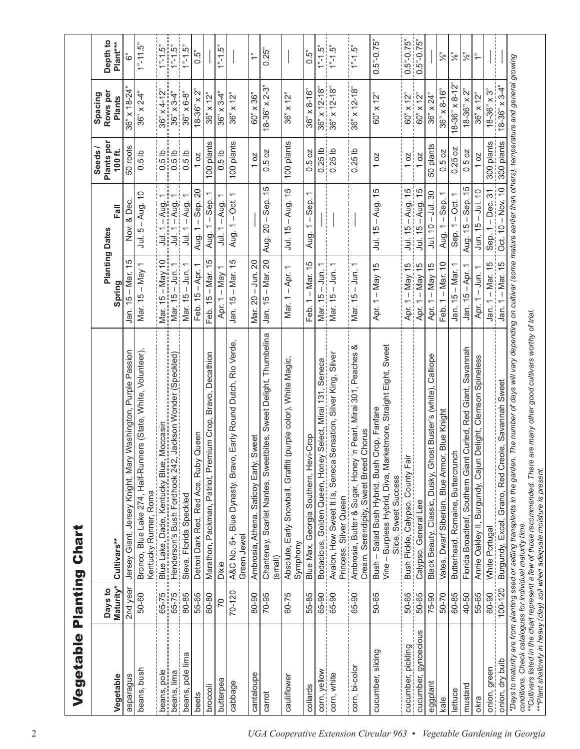| Vegetable            | Planting             | Chart                                                                                                                                   |                                                  |                                                              |                                  |                                                                                       |                                       |
|----------------------|----------------------|-----------------------------------------------------------------------------------------------------------------------------------------|--------------------------------------------------|--------------------------------------------------------------|----------------------------------|---------------------------------------------------------------------------------------|---------------------------------------|
| Vegetable            | Maturity*<br>Days to | Cultivars**                                                                                                                             | Spring                                           | lle<br>Eal<br><b>Planting Dates</b>                          | Plants per<br>Seeds /<br>100 ft. | Rows per<br>Spacing<br><b>Plants</b>                                                  | Depth <sub>to</sub><br>Plant***       |
| asparagus            | 2nd year             | Washington, Purple Passion<br>Jersey Giant, Jersey Knight, Mary                                                                         | $\frac{5}{3}$<br>- Mar.<br>$\frac{1}{2}$<br>Jan. | & Dec.<br>Nov.                                               | 50 roots                         | $36" \times 18 - 24"$                                                                 | ؿٙ                                    |
| beans, bush          | 50-60                | lers (State, White, Volunteer),<br>Bronco, Blue Lake 274, Half-Runr<br>Kentucky Runner, Roma                                            | Mar. 15 – May 1                                  | Jul. $5 - Aug. 10$                                           | 0.5 <sub>lb</sub>                | $36" \times 2-4"$                                                                     | $1^{n}$ -11.5"                        |
| beans, pole          |                      | Moccasin<br>Blue Lake, Dade, Kentucky Blue,                                                                                             |                                                  |                                                              |                                  |                                                                                       | $1^{n}$ 1.5"                          |
| beans, lima          | 65-75<br>65-75       | Jackson Wonder (Speckled)<br>Henderson's Bush Fordhook 242                                                                              | Mar. 15 - May 10<br>Mar. 15 - Jun. 1             | <u>Jul. 1 – Aug. 1</u><br>Jul. 1 – Aug. 1<br>Jul. 1 – Aug. 1 | $0.510$<br>$0.50$                | $\frac{36" \times 4 - 12"}{36" \times 3 - 4"$                                         | $1n-1 5n$                             |
| beans, pole lima     | 80-85                | Sieva, Florida Speckled                                                                                                                 | Mar. 15 - Jun. 1                                 | Jul. $1 - Aug. 1$                                            | 0.5 <sub>1b</sub>                | $36" \times 6 - 8"$                                                                   | $1 - 1.5$ "                           |
| beets                | 55-65                | Queen<br>Detroit Dark Red, Red Ace, Ruby                                                                                                | ↽<br>$15 -$ Apr.<br>Feb.                         | Sep. 20<br>$\mathbf{I}$<br>$\overline{ }$<br>Aug.            | 10Z                              | $18 - 36" \times 2"$                                                                  | i,0.5                                 |
| broccoli             | 60-80                | Marathon, Packman, Patriot, Premium Crop, Bravo, Decathion                                                                              | 15<br>- Mar.<br>$\frac{1}{2}$<br>Feb.            | - Sep.<br>$\overline{ }$<br>Aug.                             | 100 plants                       | $36" \times 12"$                                                                      |                                       |
| butterpea            | 70                   | Dixie                                                                                                                                   | $-Way$<br>$\overline{ }$<br>Apr.                 | - Aug.<br>$\overline{ }$<br>ミ                                | 0.5 <sub>1</sub>                 | $36" \times 34"$                                                                      | $1 - 1.5$ "                           |
| cabbage              | $70 - 120$           | Early Round Dutch, Rio Verde,<br>Blue Dynasty, Bravo<br>A&C No. 5+,<br>Green Jewel                                                      | Jan. 15 - Mar. 15                                | $\overline{ }$<br>– Oct.<br>Aug. 1                           | 100 plants                       | $36" \times 12"$                                                                      |                                       |
| cantaloupe           | 80-90                | Sweet<br>Ambrosia, Athena, Saticoy Early,                                                                                               | Mar. 20 - Jun. 20                                |                                                              | 10 <sub>z</sub>                  | $60^\circ \times 36^\circ$                                                            | $\stackrel{?}{\rightarrow}$           |
| carrot               | 70-95                | Chantenay, Scarlet Nantes, Sweetbites, Sweet Delight, Thumbelina<br>(small)                                                             | Jan. 15 - Mar. 20                                | $-$ Sep. 15<br>Aug. 20 -                                     | 0.5oz                            | $18-36" \times 2-3"$                                                                  | $0.25$ "                              |
| cauliflower          | 60-75                | (purple color), White Magic,<br>Absolute, Early Snowball, Graffiti<br>Symphony                                                          | $-Apr. 1$<br>Mar. 1                              | Jul. 15 - Aug. 15                                            | 100 plants                       | $36" \times 12"$                                                                      |                                       |
| collards             | 55-85                | i-Crop<br>Blue Max, Georgia Southern, Hev                                                                                               | Feb. 1 - Mar. 15                                 | $\overline{\phantom{0}}$<br>$1 -$ Sep.<br>Aug.               | 0.5 oz                           | $36" \times 8 - 16"$                                                                  | <b>i</b><br>0.5"                      |
| com, yellow          | $65-90$<br>$65-90$   | Bodacious, Golden Queen, Honey Select, Mirai 131, Seneca                                                                                |                                                  |                                                              | $0.25$ lb<br>$0.25$ lb           |                                                                                       | $\frac{1}{1}$ - 1.5"<br>$\frac{5}{1}$ |
| corn, white          |                      | Avalon, How Sweet It Is, Seneca Sensation, Silver King, Silver<br>Princess, Silver Queen                                                | Mar. 15 – Jun. 1<br>Mar. 15 – Jun. 1             | ł                                                            |                                  | $\frac{36^{\circ} \times 12 \cdot 18^{\circ}}{36^{\circ} \times 12 \cdot 18^{\circ}}$ |                                       |
| corn, bi-color       | 65-90                | ళ<br>'n Pearl, Mirai 301, Peaches<br>Chorus<br>Cream, Serendipity, Sweet Breed<br>Ambrosia, Butter & Sugar, Honey                       | $\overline{ }$<br>$-$ Jun.<br>Mar. 15            |                                                              | 0.25 <sub>b</sub>                | $x 12 - 18$<br>36"                                                                    | $1^{n}$ -1.5"                         |
| cucumber, slicing    | 50-65                | Vine - Burpless Hybrid, Diva, Marketmore, Straight Eight, Sweet<br>Bush - Salad Bush Hybrid, Bush Crop, Fanfare<br>Slice, Sweet Success | Apr. 1 - May 15                                  | Jul. 15 - Aug. 15                                            | 10Z                              | $60^{\circ}$ x 12 <sup><math>\circ</math></sup>                                       | $0.5 - 0.75$                          |
| cucumber, pickling   | 50-65                | Bush Pickle, Calypso, County Fair                                                                                                       | $-May$ 15<br>Apr. 1 -                            | Jul. 15 - Aug. 15                                            | 10Z                              | 60" x 12                                                                              | $0.5 - 0.75$                          |
| cucumber, gynoecious | 50-65                | Calypso, General Lee                                                                                                                    | Apr. 1 - May 15                                  | Jul. 15 - Aug. 15                                            | 10Z                              | $60'' \times 12''$                                                                    | $0.5^{\circ}$ -0.75 $^{\circ}$        |
| eggplant             | 75-90                | Black Beauty, Classic, Dusky, Ghost Buster's (white), Calliope                                                                          | May 15<br>$\mathbf{I}$<br>Apr. 1                 | $-$ Jul. 30<br>Jul. 10                                       | 50 plants                        | $36" \times 24"$                                                                      |                                       |
| kale                 | 50-70                | Vates, Dwarf Siberian, Blue Armor, Blue Knight                                                                                          | $1 -$ Mar. 10<br>Feb.                            | Sep. 1<br>Aug. $1 -$                                         | 0.5 oz                           | $36" \times 8 - 16"$                                                                  | $\zeta^n$                             |
| lettuce              | 60-85                | Butterhead, Romaine, Buttercrunch                                                                                                       | Jan. 15 - Mar. 1                                 | - Oct.<br>Sep. 1                                             | $0.25$ oz                        | $18-36" \times 8-12"$                                                                 | $\tilde{\zeta}^n$                     |
| mustard              | 40-50                | Curled, Red Giant, Savannah<br>Florida Broadleaf, Southem Giant                                                                         | Jan. 15 - Apr. 1                                 | Aug. 15 - Sep. 15                                            | 0.5 oz                           | $18-36" \times 2"$                                                                    | $\tilde{\zeta}$                       |
| okra                 | 55-65                | Delight, Clemson Spineless<br>Annie Oakley II, Burgundy, Cajun                                                                          | Apr. 1 - Jun. 1                                  | $Jun. 15 - Jul. 10$                                          | 10Z                              | $36" \times 12"$                                                                      | $\ddot{\tau}$                         |
| onion, green         | 60-90                | White Portugal                                                                                                                          | Jan. 1 – Mar. 15                                 | Sep. 1 - Dec. 31                                             | 300 plants                       | $18-36" \times 3"$                                                                    |                                       |
| onion, dry bulb      | 100-120              | Burgundy, Excel, Grano, Red Creole, Savannah Sweet                                                                                      | Jan. 1 - Mar. 15                                 | Oct. 10 - Nov. 10                                            | 300 plants                       | $18-36" \times 3-4"$                                                                  |                                       |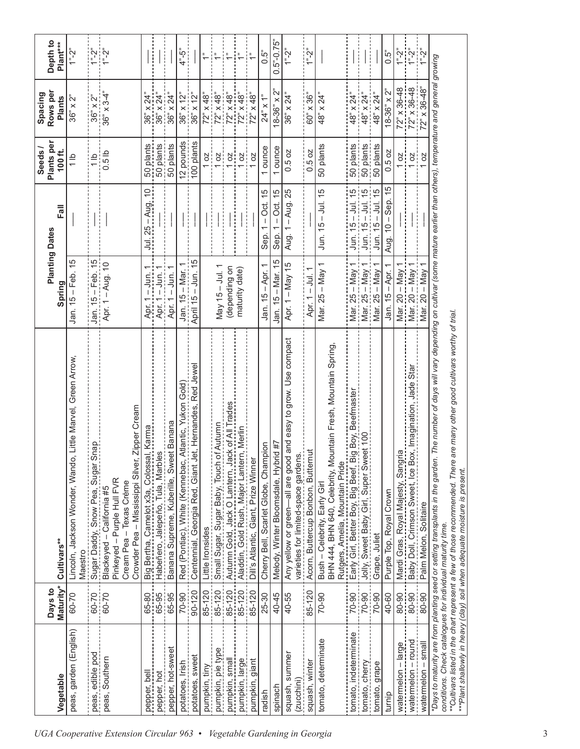|                                                            |                      |                                                                                                                                                                                                              |                                                   |                                                                                                          | Seeds/                   | Spacing                        |                                                                                                                                           |
|------------------------------------------------------------|----------------------|--------------------------------------------------------------------------------------------------------------------------------------------------------------------------------------------------------------|---------------------------------------------------|----------------------------------------------------------------------------------------------------------|--------------------------|--------------------------------|-------------------------------------------------------------------------------------------------------------------------------------------|
| Vegetable                                                  | Maturity*<br>Days to | Cultivars**                                                                                                                                                                                                  | Spring                                            | Fall<br><b>Planting Dates</b>                                                                            | Plants per<br>100 $ft$ . | Rows per<br><b>Plants</b>      | Depth <sub>to</sub><br>Plant***                                                                                                           |
| peas, garden (English)                                     | 60-70                | Little Marvel, Green Arrow,<br>Lincoln, Jackson Wonder, Wando,<br>Maestro                                                                                                                                    | Jan. 15 - Feb. 15                                 |                                                                                                          | $\frac{1}{1}$            | $36" \times 2"$                | $1^n - 2^n$                                                                                                                               |
| peas, edible pod                                           | 60-70                | Sugar Daddy, Snow Pea, Sugar Snap                                                                                                                                                                            | Jan. 15 - Feb. 15                                 |                                                                                                          | $\frac{d}{1}$            | $36" \times 2"$                | $\begin{bmatrix} \mathbf{P} & \mathbf{P} \\ \mathbf{P} & \mathbf{P} \end{bmatrix} \begin{bmatrix} \mathbf{P} \\ \mathbf{P} \end{bmatrix}$ |
| peas, Southern                                             | 60-70                | Zipper Cream<br>Crowder Pea - Mississippi Silver,<br>Pinkeyed - Purple Hull FVR<br>Cream Pea - Texas Creme<br>Blackeyed - California #5                                                                      | Apr. 1 - Aug. 10                                  |                                                                                                          | 0.5 <sub>1b</sub>        | $36" \times 3-4"$              |                                                                                                                                           |
| pepper, bell                                               | 65-80                | Big Bertha, Camelot x3a, Colossal, Karma                                                                                                                                                                     | $\overline{ }$<br>$-$ Jun.<br>Apr. 1              | Jul. 25 - Aug. 10                                                                                        | 50 plants                | $36" \times 24"$               |                                                                                                                                           |
| pepper, hot                                                | 65-95                | Habeñero, Jalepeño, Tula, Marbles                                                                                                                                                                            | Apr. 1 – Jun.                                     |                                                                                                          | 50 plants                | $36" \times 24"$               |                                                                                                                                           |
| pepper, hot-sweet                                          | 65-95                | Banana Supreme, Kuberille, Sweet Banana                                                                                                                                                                      | $-$ Jun.<br>Apr. 1                                |                                                                                                          | 50 plants                | $36" \times 24"$               |                                                                                                                                           |
| potatoes, Irish                                            | 70-90                | Red (Pontiac), White (Kennebac, Atlantic, Yukon Gold)                                                                                                                                                        | Jan. 15 - Mar.                                    | İ                                                                                                        | 12 pounds                | $36" \times 12"$               | $4^{n} - 5^{n}$                                                                                                                           |
| potatoes, sweet                                            | $90 - 120$           | Centennial, Georgia Red, Giant Jet, Hernandes, Red Jewel                                                                                                                                                     | April 15 - Jun. 15                                |                                                                                                          | 100 plants               | $36" \times 12"$               |                                                                                                                                           |
| pumpkin, tiny                                              | 85-120               | Little Ironsides                                                                                                                                                                                             |                                                   | $\frac{1}{1}$                                                                                            | 8ļ                       | $72^{\circ} \times 48^{\circ}$ | $\ddot{\tau}$                                                                                                                             |
| pumpkin, pie type                                          | 85-120               | Small Sugar, Sugar Baby, Touch of Autumn                                                                                                                                                                     | May $15 -$ Jul. 1                                 | $\vdots$                                                                                                 | δ.                       | $72^{\circ} \times 48^{\circ}$ | ÷                                                                                                                                         |
| pumpkin, small                                             | 85-120               | Autumn Gold, Jack O Lantern, Jack of All Trades                                                                                                                                                              | (depending on                                     |                                                                                                          | OZ                       | $72^{\circ} \times 48^{\circ}$ | $\frac{1}{2}$                                                                                                                             |
| pumpkin, large                                             | 85-120               | Aladdin, Gold Rush, Major Lantern, Merlin                                                                                                                                                                    | maturity date)                                    | ł<br>$\frac{1}{1}$                                                                                       | $\overline{a}$           | $72^{\circ} \times 48^{\circ}$ | ΤË                                                                                                                                        |
| pumpkin, giant                                             | 85-120               | Dill's Atlantic, Giant, Prize Winner                                                                                                                                                                         |                                                   |                                                                                                          | <b>DZ</b>                | $72^{\circ} \times 48^{\circ}$ | į۽                                                                                                                                        |
| radish                                                     | 25-30                | Champion<br>Scarlet Globe,<br>Cherry Bell,                                                                                                                                                                   | T<br>- Apr.<br>15<br>Jan.                         | 15<br>ö.<br>$\mathbf{I}$<br>٣<br>Sep.                                                                    | ounce                    | $24"$ x 1"                     | 0.5"                                                                                                                                      |
| spinach                                                    | 40-45                | Melody, Winter Bloomsdale, Hybrid #7                                                                                                                                                                         | Ю<br>Mar.<br>$\mathsf I$<br>$\frac{5}{3}$<br>Jan. | 15<br>Öct.<br>$\mathbf{I}$<br>Sep.                                                                       | ounce                    | $\sum_{i=1}^{n}$<br>$8-36"$ X  | $0.5 - 0.75$                                                                                                                              |
| squash, summer<br>(zucchini)                               | 40-55                | and easy to grow. Use compact<br>Any yellow or green-all are good<br>varieties for limited-space gardens                                                                                                     | Apr. 1 - May 15                                   | Aug. 1 - Aug. 25                                                                                         | 0.5oz                    | $36" \times 24"$               | $1^n - 2^n$                                                                                                                               |
| squash, winter                                             | 85-120               | Acorn, Buttercup Bonbon, Butternut                                                                                                                                                                           | Apr. 1 - Jul.                                     |                                                                                                          | 0.5 oz                   | $60" \times 36"$               | $\frac{1}{2}$                                                                                                                             |
| tomato, determinate                                        | 70-90                | BHN 444, BHN 640, Celebrity, Mountain Fresh, Mountain Spring,<br>Rutgers, Amelia, Mountain Pride<br>Bush - Celebrity, Early Girl                                                                             | Mar. 25 – May 1                                   | $Jun. 15 - Jul. 15$                                                                                      | 50 plants                | 48" x 24"                      |                                                                                                                                           |
| tomato, indeterminate                                      | 70-90                | ig Boy, Beefmaster<br>Early Girl, Better Boy, Big Beef, Bi                                                                                                                                                   | Mar. 25 - May 1                                   | $Jun. 15 - Jul. 15$                                                                                      | 50 plants                | $48" \times 24"$               |                                                                                                                                           |
| tomato, cherry                                             | 70-90                | Jolly, Sweet Baby Girl, Super Sweet 100                                                                                                                                                                      | Mar. 25 - May 1                                   | $Jun. 15 - Juli. 15$                                                                                     | 50 plants                | $48" \times 24"$               | ł                                                                                                                                         |
| tomato, grape                                              | 70-90                | Grape, Juliet                                                                                                                                                                                                | Mar. 25 - May 1                                   | $\frac{5}{3}$<br>$Jun. 15 - Jul.$                                                                        | 50 plants                | $48" \times 24"$               |                                                                                                                                           |
| turnip                                                     | 40-60                | Purple Top, Royal Crown                                                                                                                                                                                      | Jan. 15 - Apr. 1                                  | Aug. 10 - Sep. 15                                                                                        | 0.5 oz                   | $18-36"$ x $2"$                | 0.5"                                                                                                                                      |
| watermelon - large                                         | 80-90                | ω<br>Mardi Gras, Royal Majesty, Sangri                                                                                                                                                                       | Mar. 20 - May 1                                   | $\begin{array}{c} \begin{array}{c} \text{1} \\ \text{2} \\ \text{3} \\ \text{4} \end{array} \end{array}$ | $\frac{2}{1}$            | $72" \times 36-48$             | $1^n - 2^n$                                                                                                                               |
| watermelon - round                                         | 80-90                | Baby Doll, Crimson Sweet, Ice Box, Imagination, Jade Sta                                                                                                                                                     | Mar. 20 - May 1                                   | İ                                                                                                        | $\overline{a}$           | $72° \times 36-48$             | $\frac{1}{2} \sum_{n=1}^{n}$                                                                                                              |
| watermelon - small                                         | 80-90                | Palm Melon, Solitaire                                                                                                                                                                                        | Mar. 20 – May 1                                   |                                                                                                          | $\overline{a}$           | 72" x 36-48"                   | $\frac{1}{2}$                                                                                                                             |
| conditions. Check catalogues for individual maturity time. |                      | The number of days will vary depending on cultivar (some mature earlier than others), temperature and general growing<br>*Days to maturity are from planting seed or setting transplants in the garden.      |                                                   |                                                                                                          |                          |                                |                                                                                                                                           |
|                                                            |                      | re many other good cultivars worthy of trial<br>***Cultivars listed in the chart represent a few of those recommended. There a<br>***Plant shallowly in heavy (clay) soil when adequate moisture is present. |                                                   |                                                                                                          |                          |                                |                                                                                                                                           |